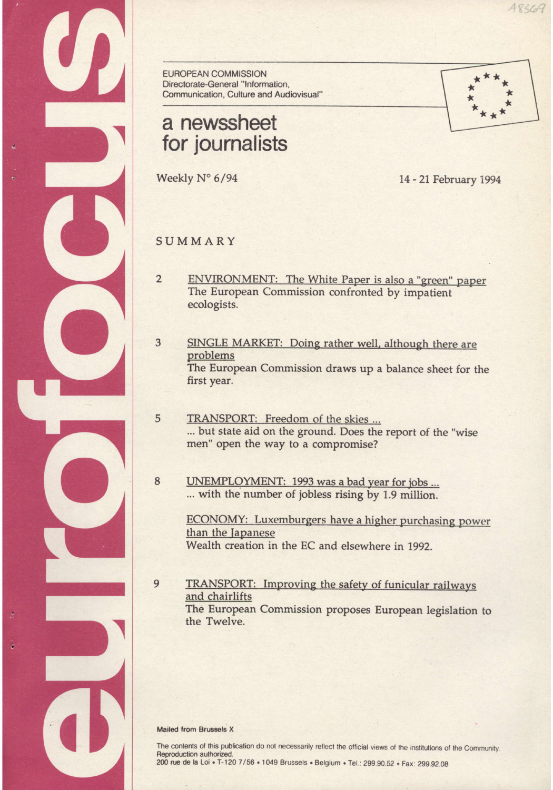EUROPEAN COMMISSION Directorate-General "lnformation, Communication. Culture and Audiovisual"

# a newssheet for journalists

Weekly N° 6/94 14 - 21 February 1994

 $*$ 

 $48369$ 

## SUMMARY

 $\overline{2}$ ENVIRONMENT: The White Paper is also a "green" paper The European Commission confronted by impatient ecologists.

#### $\overline{3}$ SINGLE MARKET: Doing rather well. although there are problems The European Commission draws up a balance sheet for the first year.

- TRANSPORT: Freedom of the skies ... ... but state aid on the ground. Does the report of the "wise men" open the way to a compromise?
- UNEMPLOYMENT: 1993 was a bad year for jobs ... ... with the number of jobless rising by 1.9 million. 8

ECONOMY: Luxemburgers have a higher purchasing power than the Japanese Wealth creation in the EC and elsewhere in 1992.

TRANSPORT: Improving the safety of funicular railways and chairlifts The European Commission proposes European legislation to the Twelve.

#### Mailed from Brussels X

9

5

The contents of this publication do not necessarily reflect the official views of the institutions of the Community. Reproduction authorized. 200 rue de la Loi . T-120 7/56 . 1049 Brussels . Belgium . Tel.: 299.90.52 . Fax: 299.92.08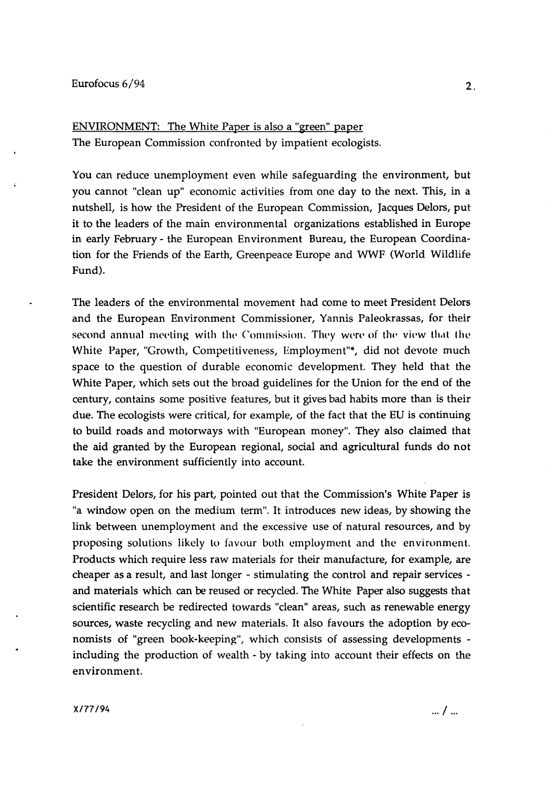ENVIRONMENT: The White Paper is also a "green" paper The European Commission confronted by impatient ecologists.

You can reduce unemployment even while safeguarding the environment, but you cannot "clean up" economic activities from one day to the next. This, in a nutshell, is how the President of the European Commission, Jacques Delors, put it to the leaders of the main environmental organizations established in Europe in early February- the European Environment Bureau, the European Coordination for the Friends of the Earth, Greenpeace Europe and WWF (World Wildlife Fund).

The leaders of the environmental movement had come to meet President Delors and the European Environment Commissioner, Yannis Paleokrassas, for their second annual meeting with the Commission. They were of the view that the White Paper, "Growth, Competitiveness, Employment"\*, did not devote much space to the question of durable economic development. They held that the White Paper, which sets out the broad guidelines for the Union for the end of the century, contains some positive features, but it gives bad habits more than is their due. The ecologists were critical, for example, of the fact that the EU is continuing to build roads and motorways with "European money". They also claimed that the aid granted by the European regional, social and agricultural funds do not take the environment sufficiently into account.

President Delors, for his part, pointed out that the Commission's White Paper is "a window open on the medium term". It introduces new ideas, by showing the link between unemployment and the excessive use of natural resources, and by proposing solutions likely to favour both employment and the environment. Products which require less raw materials for their manufacture, for example, are cheaper as a result, and last longer - stimulating the control and repair services and materials which can be reused or recycled. The White Paper also suggests that scientific research be redirected towards "clean" areas, such as renewable energy sources, waste recycling and new materials. It also favours the adoption by economists of "green book-keeping", which consists of assessing developments including the production of wealth- by taking into account their effects on the environment.

 $x/77/94$  ...  $\frac{1}{100}$  ...  $\frac{1}{100}$  ...  $\frac{1}{100}$  ...  $\frac{1}{100}$  ...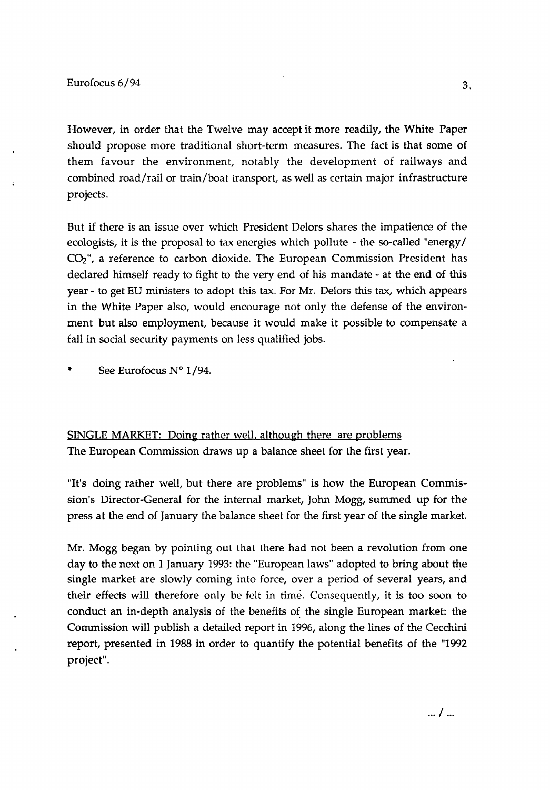However, in order that the Twelve may accept it more readily, the White Paper should propose more traditional short-term measures. The fact is that some of them favour the environment, notably the development of railways and combined road/rail or train/boat transport, as well as certain major infrastructure projects.

But if there is an issue over which President Delors shares the impatience of the ecologists, it is the proposal to tax energies which pollute - the so-called "energy/  $CO<sub>2</sub>$ ", a reference to carbon dioxide. The European Commission President has declared himself ready to fight to the very end of his mandate - at the end of this year- to get EU ministers to adopt this tax. For Mr. Delors this tax, which appears in the White Paper also, would encourage not only the defense of the environment but also employment, because it would make it possible to compensate a fall in social security payments on less qualified jobs.

\* See Eurofocus N° 1 /94.

SINGLE MARKET: Doing rather well, although there are problems The European Commission draws up a balance sheet for the first year.

"It's doing rather well, but there are problems" is how the European Commission's Director-General for the internal market, John Mogg, summed up for the press at the end of January the balance sheet for the first year of the single market.

Mr. Mogg began by pointing out that there had not been a revolution from one day to the next on 1 January 1993: the "European laws" adopted to bring about the single market are slowly coming into force, over a period of several years, and their effects will therefore only be felt in time. Consequently, it is too soon to conduct an in-depth analysis of the benefits of the single European market: the Commission will publish a detailed report in 1996, along the lines of the Cecchini report, presented in 1988 in order to quantify the potential benefits of the "1992 project".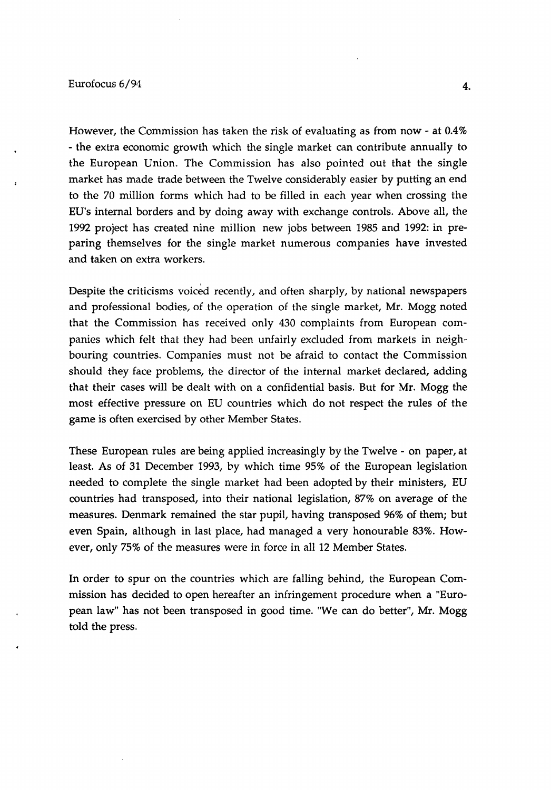## $\frac{1}{4}$

However, the Commission has taken the risk of evaluating as from now- at 0.4% - the extra economic growth which the single market can contribute annually to the European Union. The Commission has also pointed out that the single market has made trade between the Twelve considerably easier by putting an end to the 70 million forms which had to be filled in each year when crossing the EU's internal borders and by doing away with exchange controls. Above all, the 1992 project has created nine million new jobs between 1985 and 1992: in preparing themselves for the single market numerous companies have invested and taken on extra workers.

Despite the criticisms voiced recently, and often sharply, by national newspapers and professional bodies, of the operation of the single market, Mr. Mogg noted that the Commission has received only 430 complaints from European companies which felt that they had been unfairly excluded from markets in neighbouring countries. Companies must not be afraid to contact the Commission should they face problems, the director of the internal market declared, adding that their cases will be dealt with on a confidential basis. But for Mr. Mogg the most effective pressure on EU countries which do not respect the rules of the game is often exercised by other Member States.

These European rules are being applied increasingly by the Twelve- on paper, at least. As of 31 December 1993, by which time 95% of the European legislation needed to complete the single market had been adopted by their ministers, EU countries had transposed, into their national legislation, 87% on average of the measures. Denmark remained the star pupil, having transposed 96% of them; but even Spain, although in last place, had managed a very honourable 83%. However, only 75% of the measures were in force in all 12 Member States.

In order to spur on the countries which are falling behind, the European Commission has decided to open hereafter an infringement procedure when a "European law" has not been transposed in good time. "We can do better", Mr. Mogg told the press.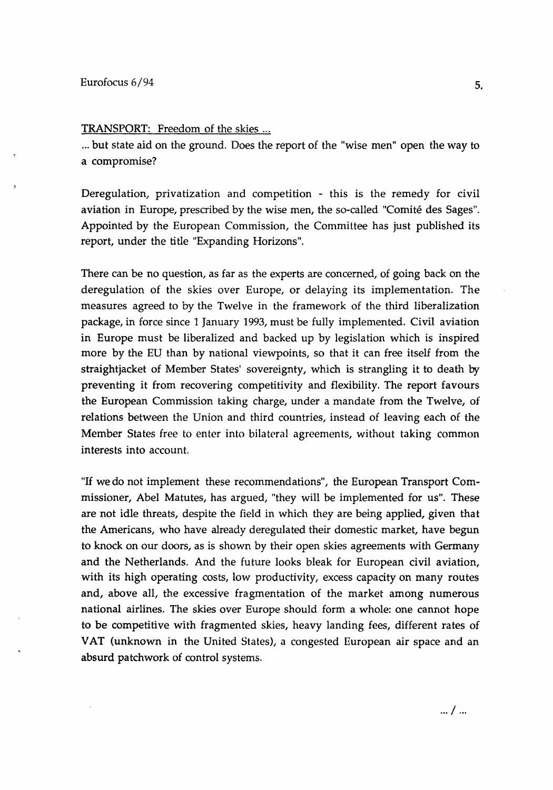TRANSPORT: Freedom of the skies ...

... but state aid on the ground. Does the report of the "wise men" open the way to a compromise?

Deregulation, privatization and competition - this is the remedy for civil aviation in Europe, prescribed by the wise men, the so-called "Comite des Sages". Appointed by the European Commission, the Committee has just published its report, under the title "Expanding Horizons".

There can be no question, as far as the experts are concerned, of going back on the deregulation of the skies over Europe, or delaying its implementation. The measures agreed to by the Twelve in the framework of the third liberalization package, in force since 1 January 1993, must be fully implemented. Civil aviation in Europe must be liberalized and backed up by legislation which is inspired more by the EU than by national viewpoints, so that it can free itself from the straightjacket of Member States' sovereignty, which is strangling it to death by preventing it from recovering competitivity and flexibility. The report favours the European Commission taking charge, under a mandate from the Twelve, of relations between the Union and third countries, instead of leaving each of the Member States free to enter into bilateral agreements, without taking common interests into account.

"If we do not implement these recommendations", the European Transport Commissioner, Abel Matutes, has argued, "they will be implemented for us". These are not idle threats, despite the field in which they are being applied, given that the Americans, who have already deregulated their domestic market, have begun to knock on our doors, as is shown by their open skies agreements with Germany and the Netherlands. And the future looks bleak for European civil aviation, with its high operating costs, low productivity, excess capacity on many routes and, above all, the excessive fragmentation of the market among numerous national airlines. The skies over Europe should form a whole: one cannot hope to be competitive with fragmented skies, heavy landing fees, different rates of VAT (unknown in the United States), a congested European air space and an absurd patchwork of control systems.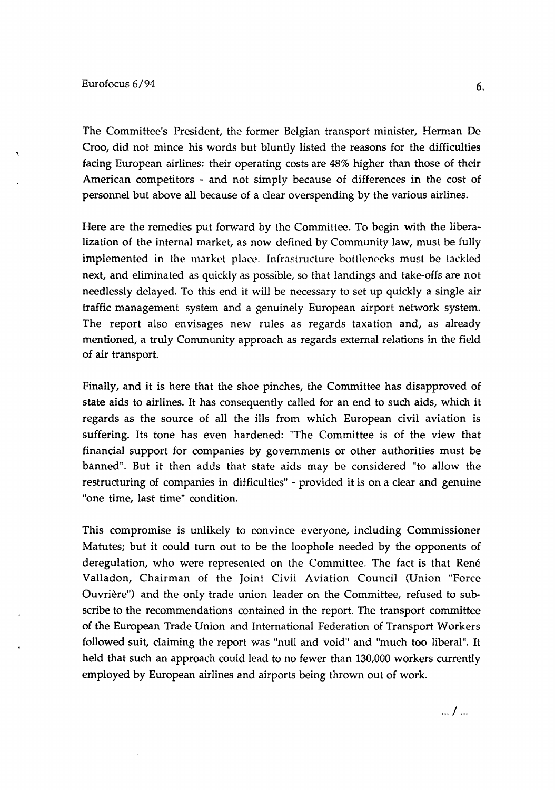The Committee's President, the former Belgian transport minister, Herman De Croo, did not mince his words but bluntly listed the reasons for the difficulties facing European airlines: their operating costs are 48% higher than those of their American competitors - and not simply because of differences in the cost of personnel but above all because of a clear overspending by the various airlines.

Here are the remedies put forward by the Committee. To begin with the liberalization of the internal market, as now defined by Community law, must be fully implemented in the market place. Infrastructure bottlenecks must be tackled next, and eliminated as quickly as possible, so that landings and take-offs are not needlessly delayed. To this end it will be necessary to set up quickly a single air traffic management system and a genuinely European airport network system. The report also envisages new rules as regards taxation and, as already mentioned, a truly Community approach as regards external relations in the field of air transport.

Finally, and it is here that the shoe pinches, the Committee has disapproved of state aids to airlines. It has consequently called for an end to such aids, which it regards as the source of all the ills from which European civil aviation is suffering. Its tone has even hardened: "The Committee is of the view that financial support for companies by governments or other authorities must be banned". But it then adds that state aids may be considered "to allow the restructuring of companies in difficulties" - provided it is on a clear and genuine "one time, last time" condition.

This compromise is unlikely to convince everyone, including Commissioner Matutes; but it could turn out to be the loophole needed by the opponents of deregulation, who were represented on the Committee. The fact is that René Valladon, Chairman of the Joint Civil Aviation Council (Union "Force Ouvriere") and the only trade union leader on the Committee, refused to subscribe to the recommendations contained in the report. The transport committee of the European Trade Union and International Federation of Transport Workers followed suit, claiming the report was "null and void" and "much too liberal". It held that such an approach could lead to no fewer than 130,000 workers currently employed by European airlines and airports being thrown out of work.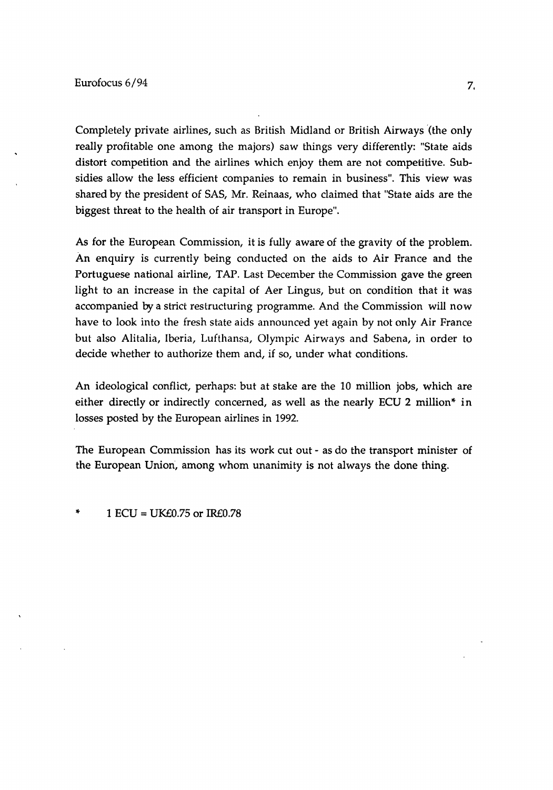Completely private airlines, such as British Midland or British Airways '(the only really profitable one among the majors) saw things very differently: "State aids distort competition and the airlines which enjoy them are not competitive. Subsidies allow the less efficient companies to remain in business". This view was shared by the president of SAS, Mr. Reinaas, who claimed that "State aids are the biggest threat to the health of air transport in Europe".

As for the European Commission, it is fully aware of the gravity of the problem. An enquiry is currently being conducted on the aids to Air France and the Portuguese national airline, TAP. Last December the Commission gave the green light to an increase in the capital of Aer Lingus, but on condition that it was accompanied by a strict restructuring programme. And the Commission will now have to look into the fresh state aids announced yet again by not only Air France but also Alitalia, Iberia, Lufthansa, Olympic Airways and Sabena, in order to decide whether to authorize them and, if so, under what conditions.

An ideological conflict, perhaps: but at stake are the 10 million jobs, which are either directly or indirectly concerned, as well as the nearly ECU 2 million\* in losses posted by the European airlines in 1992.

The European Commission has its work cut out - as do the transport minister of the European Union, among whom unanimity is not always the done thing.

 $1$  ECU = UK $E$ 0.75 or IR $E$ 0.78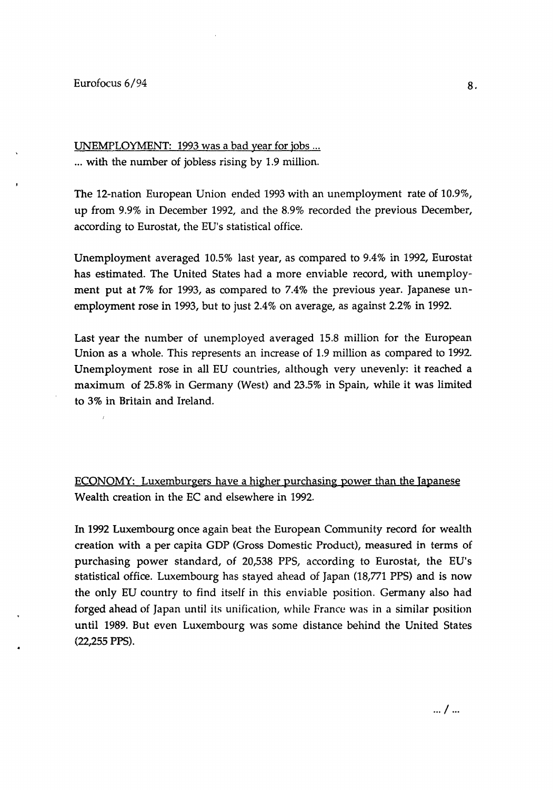### Eurofocus 6/94

UNEMPLOYMENT: 1993 was a bad year for jobs ... ... with the number of jobless rising by 1.9 million.

The 12-nation European Union ended 1993 with an unemployment rate of 10.9%, up from 9.9% in December 1992, and the 8.9% recorded the previous December, according to Eurostat, the EU's statistical office.

Unemployment averaged 10.5% last year, as compared to 9.4% in 1992, Eurostat has estimated. The United States had a more enviable record, with unemployment put at 7% for 1993, as compared to 7.4% the previous year. Japanese unemployment rose in 1993, but to just 2.4% on average, as against 2.2% in 1992.

Last year the number of unemployed averaged 15.8 million for the European Union as a whole. This represents an increase of 1.9 million as compared to 1992. Unemployment rose in all EU countries, although very unevenly: it reached a maximum of 25.8% in Germany (West) and 23.5% in Spain, while it was limited to 3% in Britain and Ireland.

ECONOMY: Luxemburgers have a higher purchasing power than the Japanese Wealth creation in the EC and elsewhere in 1992.

In 1992 Luxembourg once again beat the European Community record for wealth creation with a per capita GDP (Gross Domestic Product), measured in terms of purchasing power standard, of 20,538 PPS, according to Eurostat, the EU's statistical office. Luxembourg has stayed ahead of Japan (18,771 PPS) and is now the only EU country to find itself in this enviable position. Germany also had forged ahead of Japan until its unification, while France was in a similar position until 1989. But even Luxembourg was some distance behind the United States (22,255 PPS).